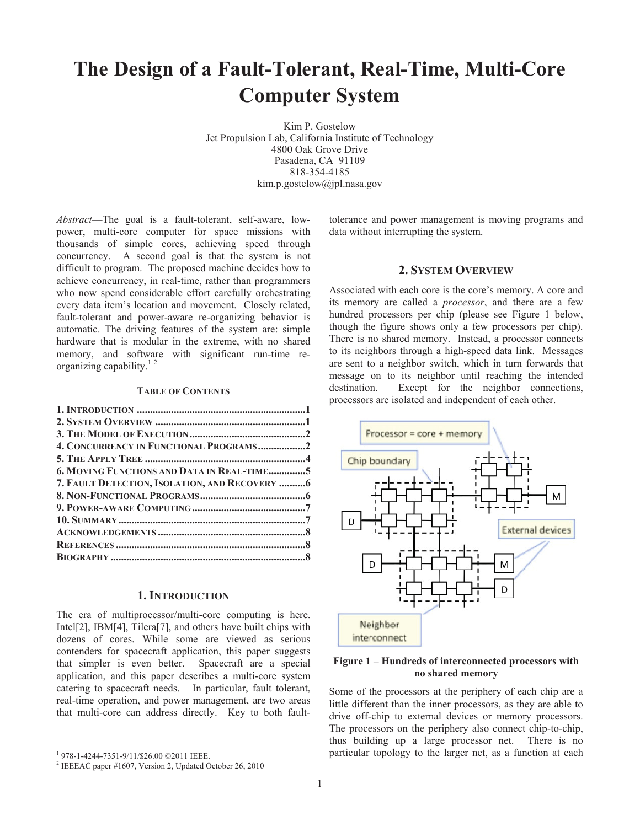# **The Design of a Fault-Tolerant, Real-Time, Multi-Core Computer System**

Kim P. Gostelow Jet Propulsion Lab, California Institute of Technology 4800 Oak Grove Drive Pasadena, CA 91109 818-354-4185 kim.p.gostelow@jpl.nasa.gov

*Abstract*—The goal is a fault-tolerant, self-aware, lowpower, multi-core computer for space missions with thousands of simple cores, achieving speed through concurrency. A second goal is that the system is not difficult to program. The proposed machine decides how to achieve concurrency, in real-time, rather than programmers who now spend considerable effort carefully orchestrating every data item's location and movement. Closely related, fault-tolerant and power-aware re-organizing behavior is automatic. The driving features of the system are: simple hardware that is modular in the extreme, with no shared memory, and software with significant run-time reorganizing capability.<sup>12</sup>

### **TABLE OF CONTENTS**

| 4. CONCURRENCY IN FUNCTIONAL PROGRAMS2        |  |
|-----------------------------------------------|--|
|                                               |  |
| 6. MOVING FUNCTIONS AND DATA IN REAL-TIME5    |  |
| 7. FAULT DETECTION, ISOLATION, AND RECOVERY 6 |  |
|                                               |  |
|                                               |  |
|                                               |  |
|                                               |  |
|                                               |  |
|                                               |  |
|                                               |  |

### **1. INTRODUCTION**

The era of multiprocessor/multi-core computing is here. Intel[2], IBM[4], Tilera[7], and others have built chips with dozens of cores. While some are viewed as serious contenders for spacecraft application, this paper suggests that simpler is even better. Spacecraft are a special application, and this paper describes a multi-core system catering to spacecraft needs. In particular, fault tolerant, real-time operation, and power management, are two areas that multi-core can address directly. Key to both faulttolerance and power management is moving programs and data without interrupting the system.

### **2. SYSTEM OVERVIEW**

Associated with each core is the core's memory. A core and its memory are called a *processor*, and there are a few hundred processors per chip (please see Figure 1 below, though the figure shows only a few processors per chip). There is no shared memory. Instead, a processor connects to its neighbors through a high-speed data link. Messages are sent to a neighbor switch, which in turn forwards that message on to its neighbor until reaching the intended destination. Except for the neighbor connections, processors are isolated and independent of each other.



### **Figure 1 – Hundreds of interconnected processors with no shared memory**

Some of the processors at the periphery of each chip are a little different than the inner processors, as they are able to drive off-chip to external devices or memory processors. The processors on the periphery also connect chip-to-chip, thus building up a large processor net. There is no particular topology to the larger net, as a function at each

<sup>1</sup> 978-1-4244-7351-9/11/\$26.00 ©2011 IEEE.

<sup>&</sup>lt;sup>2</sup> IEEEAC paper #1607, Version 2, Updated October 26, 2010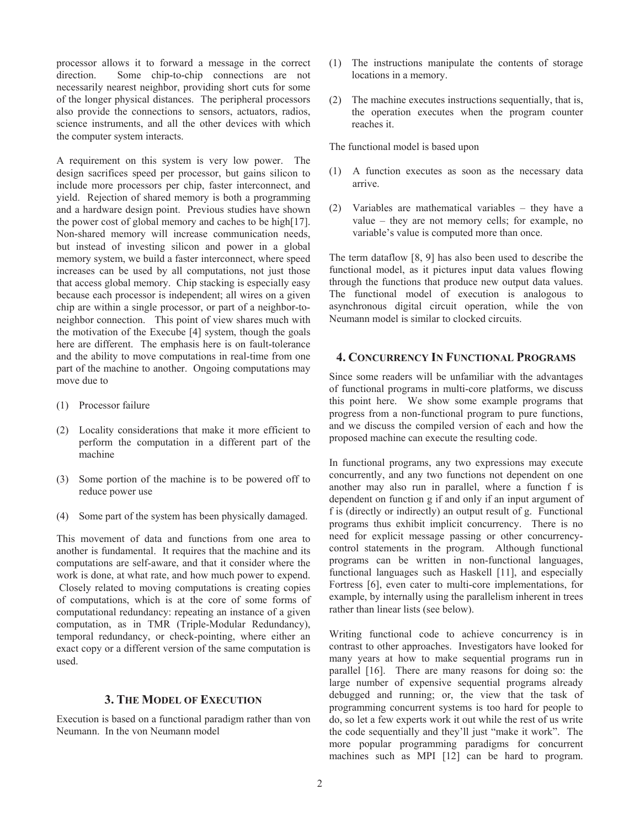processor allows it to forward a message in the correct direction. Some chip-to-chip connections are not necessarily nearest neighbor, providing short cuts for some of the longer physical distances. The peripheral processors also provide the connections to sensors, actuators, radios, science instruments, and all the other devices with which the computer system interacts.

A requirement on this system is very low power. The design sacrifices speed per processor, but gains silicon to include more processors per chip, faster interconnect, and yield. Rejection of shared memory is both a programming and a hardware design point. Previous studies have shown the power cost of global memory and caches to be high[17]. Non-shared memory will increase communication needs, but instead of investing silicon and power in a global memory system, we build a faster interconnect, where speed increases can be used by all computations, not just those that access global memory. Chip stacking is especially easy because each processor is independent; all wires on a given chip are within a single processor, or part of a neighbor-toneighbor connection. This point of view shares much with the motivation of the Execube [4] system, though the goals here are different. The emphasis here is on fault-tolerance and the ability to move computations in real-time from one part of the machine to another. Ongoing computations may move due to

- (1) Processor failure
- (2) Locality considerations that make it more efficient to perform the computation in a different part of the machine
- (3) Some portion of the machine is to be powered off to reduce power use
- (4) Some part of the system has been physically damaged.

This movement of data and functions from one area to another is fundamental. It requires that the machine and its computations are self-aware, and that it consider where the work is done, at what rate, and how much power to expend. Closely related to moving computations is creating copies of computations, which is at the core of some forms of computational redundancy: repeating an instance of a given computation, as in TMR (Triple-Modular Redundancy), temporal redundancy, or check-pointing, where either an exact copy or a different version of the same computation is used.

# **3. THE MODEL OF EXECUTION**

Execution is based on a functional paradigm rather than von Neumann. In the von Neumann model

- (1) The instructions manipulate the contents of storage locations in a memory.
- (2) The machine executes instructions sequentially, that is, the operation executes when the program counter reaches it.

The functional model is based upon

- (1) A function executes as soon as the necessary data arrive.
- (2) Variables are mathematical variables they have a value – they are not memory cells; for example, no variable's value is computed more than once.

The term dataflow [8, 9] has also been used to describe the functional model, as it pictures input data values flowing through the functions that produce new output data values. The functional model of execution is analogous to asynchronous digital circuit operation, while the von Neumann model is similar to clocked circuits.

# **4. CONCURRENCY IN FUNCTIONAL PROGRAMS**

Since some readers will be unfamiliar with the advantages of functional programs in multi-core platforms, we discuss this point here. We show some example programs that progress from a non-functional program to pure functions, and we discuss the compiled version of each and how the proposed machine can execute the resulting code.

In functional programs, any two expressions may execute concurrently, and any two functions not dependent on one another may also run in parallel, where a function f is dependent on function g if and only if an input argument of f is (directly or indirectly) an output result of g. Functional programs thus exhibit implicit concurrency. There is no need for explicit message passing or other concurrencycontrol statements in the program. Although functional programs can be written in non-functional languages, functional languages such as Haskell [11], and especially Fortress [6], even cater to multi-core implementations, for example, by internally using the parallelism inherent in trees rather than linear lists (see below).

Writing functional code to achieve concurrency is in contrast to other approaches. Investigators have looked for many years at how to make sequential programs run in parallel [16]. There are many reasons for doing so: the large number of expensive sequential programs already debugged and running; or, the view that the task of programming concurrent systems is too hard for people to do, so let a few experts work it out while the rest of us write the code sequentially and they'll just "make it work". The more popular programming paradigms for concurrent machines such as MPI [12] can be hard to program.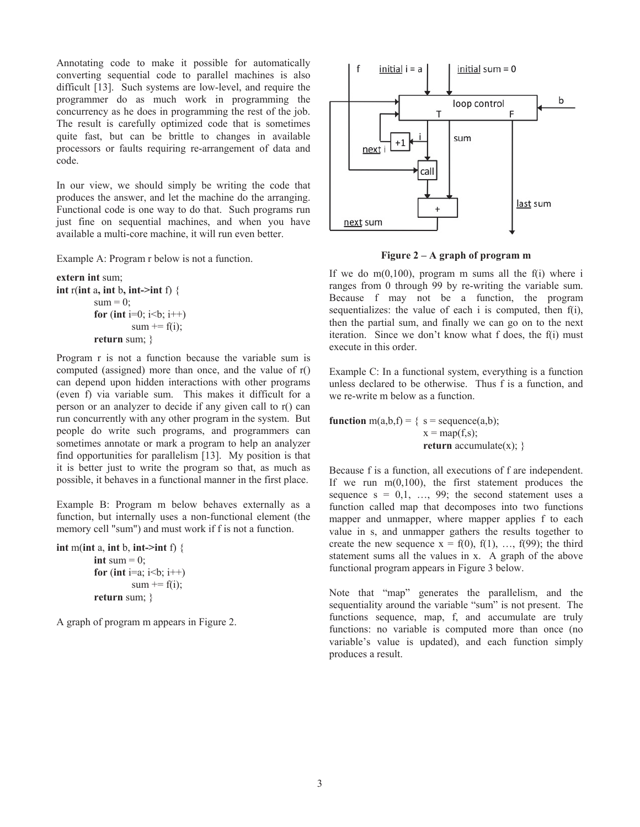Annotating code to make it possible for automatically converting sequential code to parallel machines is also difficult [13]. Such systems are low-level, and require the programmer do as much work in programming the concurrency as he does in programming the rest of the job. The result is carefully optimized code that is sometimes quite fast, but can be brittle to changes in available processors or faults requiring re-arrangement of data and code.

In our view, we should simply be writing the code that produces the answer, and let the machine do the arranging. Functional code is one way to do that. Such programs run just fine on sequential machines, and when you have available a multi-core machine, it will run even better.

Example A: Program r below is not a function.

```
extern int sum; 
int r(int a, int b, int->int f) { 
          sum = 0:
          for (int i=0; i<br/>\, i++)
                   sum += f(i);return sum; }
```
Program r is not a function because the variable sum is computed (assigned) more than once, and the value of r() can depend upon hidden interactions with other programs (even f) via variable sum. This makes it difficult for a person or an analyzer to decide if any given call to r() can run concurrently with any other program in the system. But people do write such programs, and programmers can sometimes annotate or mark a program to help an analyzer find opportunities for parallelism [13]. My position is that it is better just to write the program so that, as much as possible, it behaves in a functional manner in the first place.

Example B: Program m below behaves externally as a function, but internally uses a non-functional element (the memory cell "sum") and must work if f is not a function.

```
int m(int a, int b, int->int f) {
         int sum = 0;
         for (int i=a; i < b; i + +)
                   sum += f(i);return sum; }
```
A graph of program m appears in Figure 2.



**Figure 2 – A graph of program m** 

If we do  $m(0,100)$ , program m sums all the f(i) where i ranges from 0 through 99 by re-writing the variable sum. Because f may not be a function, the program sequentializes: the value of each i is computed, then f(i), then the partial sum, and finally we can go on to the next iteration. Since we don't know what f does, the f(i) must execute in this order.

Example C: In a functional system, everything is a function unless declared to be otherwise. Thus f is a function, and we re-write m below as a function.

**function** m(a,b,f) = {  $s = \text{sequence}(a,b)$ ;  $x = \text{map}(f,s)$ ; **return** accumulate(x); }

Because f is a function, all executions of f are independent. If we run  $m(0,100)$ , the first statement produces the sequence  $s = 0,1, \ldots, 99$ ; the second statement uses a function called map that decomposes into two functions mapper and unmapper, where mapper applies f to each value in s, and unmapper gathers the results together to create the new sequence  $x = f(0), f(1), ..., f(99)$ ; the third statement sums all the values in x. A graph of the above functional program appears in Figure 3 below.

Note that "map" generates the parallelism, and the sequentiality around the variable "sum" is not present. The functions sequence, map, f, and accumulate are truly functions: no variable is computed more than once (no variable's value is updated), and each function simply produces a result.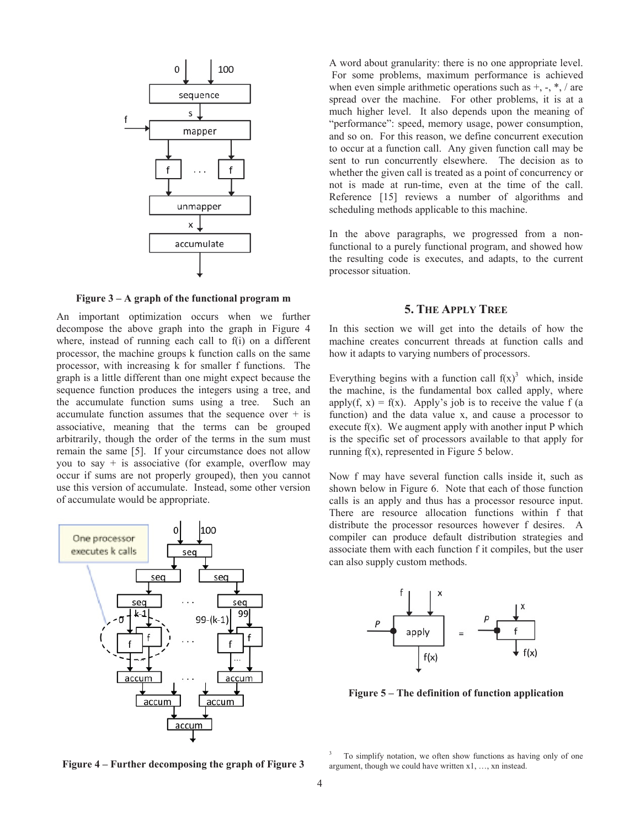

**Figure 3 – A graph of the functional program m** 

An important optimization occurs when we further decompose the above graph into the graph in Figure 4 where, instead of running each call to f(i) on a different processor, the machine groups k function calls on the same processor, with increasing k for smaller f functions. The graph is a little different than one might expect because the sequence function produces the integers using a tree, and the accumulate function sums using a tree. Such an accumulate function assumes that the sequence over  $+$  is associative, meaning that the terms can be grouped arbitrarily, though the order of the terms in the sum must remain the same [5]. If your circumstance does not allow you to say  $+$  is associative (for example, overflow may occur if sums are not properly grouped), then you cannot use this version of accumulate. Instead, some other version of accumulate would be appropriate.



A word about granularity: there is no one appropriate level. For some problems, maximum performance is achieved when even simple arithmetic operations such as  $+$ ,  $-$ ,  $*$ ,  $/$  are spread over the machine. For other problems, it is at a much higher level. It also depends upon the meaning of "performance": speed, memory usage, power consumption, and so on. For this reason, we define concurrent execution to occur at a function call. Any given function call may be sent to run concurrently elsewhere. The decision as to whether the given call is treated as a point of concurrency or not is made at run-time, even at the time of the call. Reference [15] reviews a number of algorithms and scheduling methods applicable to this machine.

In the above paragraphs, we progressed from a nonfunctional to a purely functional program, and showed how the resulting code is executes, and adapts, to the current processor situation.

# **5. THE APPLY TREE**

In this section we will get into the details of how the machine creates concurrent threads at function calls and how it adapts to varying numbers of processors.

Everything begins with a function call  $f(x)^3$  which, inside the machine, is the fundamental box called apply, where apply(f, x) = f(x). Apply's job is to receive the value f (a function) and the data value x, and cause a processor to execute  $f(x)$ . We augment apply with another input P which is the specific set of processors available to that apply for running f(x), represented in Figure 5 below.

Now f may have several function calls inside it, such as shown below in Figure 6. Note that each of those function calls is an apply and thus has a processor resource input. There are resource allocation functions within f that distribute the processor resources however f desires. A compiler can produce default distribution strategies and associate them with each function f it compiles, but the user can also supply custom methods.



**Figure 5 – The definition of function application** 

**Figure 4 – Further decomposing the graph of Figure 3** 

3 To simplify notation, we often show functions as having only of one argument, though we could have written x1, …, xn instead.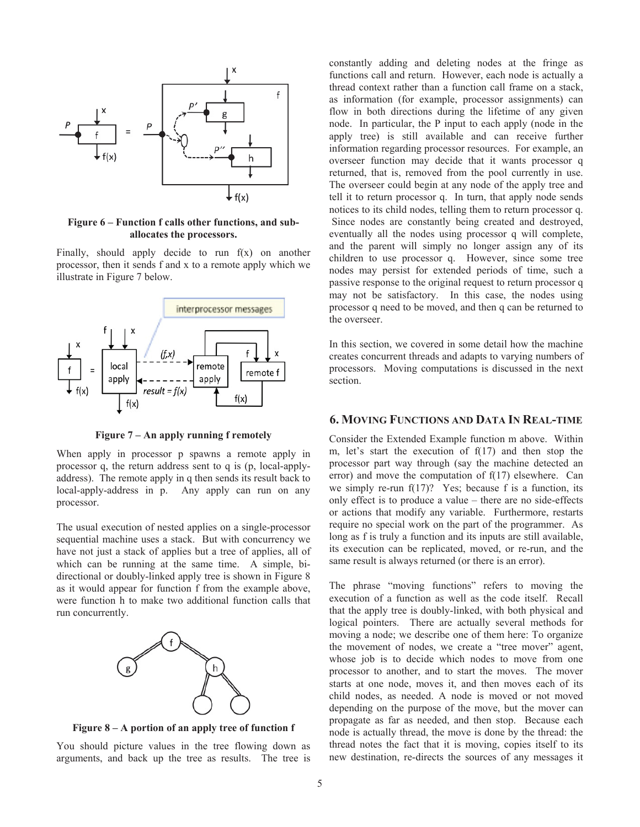

**Figure 6 – Function f calls other functions, and suballocates the processors.** 

Finally, should apply decide to run f(x) on another processor, then it sends f and x to a remote apply which we illustrate in Figure 7 below.



**Figure 7 – An apply running f remotely** 

When apply in processor p spawns a remote apply in processor q, the return address sent to q is (p, local-applyaddress). The remote apply in q then sends its result back to local-apply-address in p. Any apply can run on any processor.

The usual execution of nested applies on a single-processor sequential machine uses a stack. But with concurrency we have not just a stack of applies but a tree of applies, all of which can be running at the same time. A simple, bidirectional or doubly-linked apply tree is shown in Figure 8 as it would appear for function f from the example above, were function h to make two additional function calls that run concurrently.



**Figure 8 – A portion of an apply tree of function f** 

You should picture values in the tree flowing down as arguments, and back up the tree as results. The tree is constantly adding and deleting nodes at the fringe as functions call and return. However, each node is actually a thread context rather than a function call frame on a stack, as information (for example, processor assignments) can flow in both directions during the lifetime of any given node. In particular, the P input to each apply (node in the apply tree) is still available and can receive further information regarding processor resources. For example, an overseer function may decide that it wants processor q returned, that is, removed from the pool currently in use. The overseer could begin at any node of the apply tree and tell it to return processor q. In turn, that apply node sends notices to its child nodes, telling them to return processor q. Since nodes are constantly being created and destroyed, eventually all the nodes using processor q will complete, and the parent will simply no longer assign any of its children to use processor q. However, since some tree nodes may persist for extended periods of time, such a passive response to the original request to return processor q may not be satisfactory. In this case, the nodes using processor q need to be moved, and then q can be returned to the overseer.

In this section, we covered in some detail how the machine creates concurrent threads and adapts to varying numbers of processors. Moving computations is discussed in the next section.

## **6. MOVING FUNCTIONS AND DATA IN REAL-TIME**

Consider the Extended Example function m above. Within m, let's start the execution of f(17) and then stop the processor part way through (say the machine detected an error) and move the computation of  $f(17)$  elsewhere. Can we simply re-run  $f(17)$ ? Yes; because f is a function, its only effect is to produce a value – there are no side-effects or actions that modify any variable. Furthermore, restarts require no special work on the part of the programmer. As long as f is truly a function and its inputs are still available, its execution can be replicated, moved, or re-run, and the same result is always returned (or there is an error).

The phrase "moving functions" refers to moving the execution of a function as well as the code itself. Recall that the apply tree is doubly-linked, with both physical and logical pointers. There are actually several methods for moving a node; we describe one of them here: To organize the movement of nodes, we create a "tree mover" agent, whose job is to decide which nodes to move from one processor to another, and to start the moves. The mover starts at one node, moves it, and then moves each of its child nodes, as needed. A node is moved or not moved depending on the purpose of the move, but the mover can propagate as far as needed, and then stop. Because each node is actually thread, the move is done by the thread: the thread notes the fact that it is moving, copies itself to its new destination, re-directs the sources of any messages it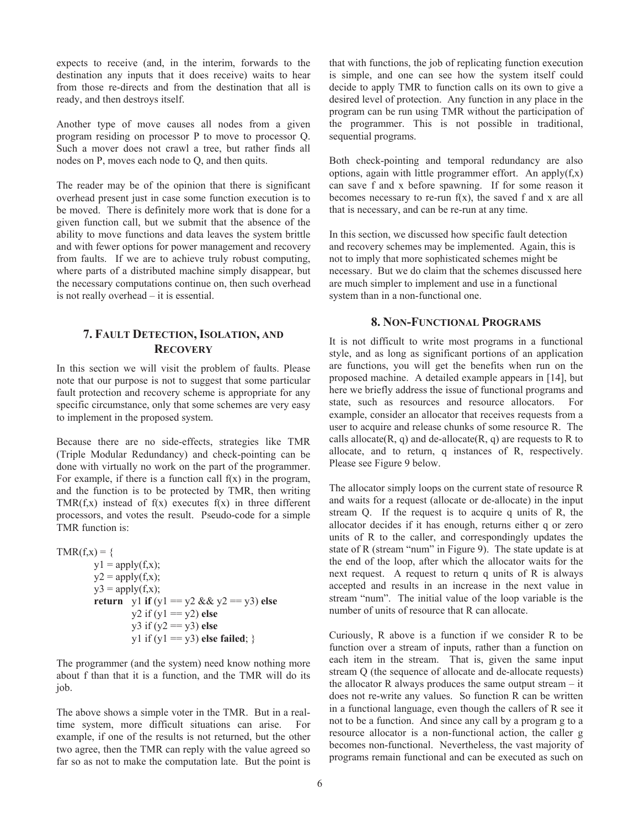expects to receive (and, in the interim, forwards to the destination any inputs that it does receive) waits to hear from those re-directs and from the destination that all is ready, and then destroys itself.

Another type of move causes all nodes from a given program residing on processor P to move to processor Q. Such a mover does not crawl a tree, but rather finds all nodes on P, moves each node to Q, and then quits.

The reader may be of the opinion that there is significant overhead present just in case some function execution is to be moved. There is definitely more work that is done for a given function call, but we submit that the absence of the ability to move functions and data leaves the system brittle and with fewer options for power management and recovery from faults. If we are to achieve truly robust computing, where parts of a distributed machine simply disappear, but the necessary computations continue on, then such overhead is not really overhead – it is essential.

# **7. FAULT DETECTION, ISOLATION, AND RECOVERY**

In this section we will visit the problem of faults. Please note that our purpose is not to suggest that some particular fault protection and recovery scheme is appropriate for any specific circumstance, only that some schemes are very easy to implement in the proposed system.

Because there are no side-effects, strategies like TMR (Triple Modular Redundancy) and check-pointing can be done with virtually no work on the part of the programmer. For example, if there is a function call  $f(x)$  in the program, and the function is to be protected by TMR, then writing TMR( $f(x)$  instead of  $f(x)$  executes  $f(x)$  in three different processors, and votes the result. Pseudo-code for a simple TMR function is:

```
TMR(f,x) = \{y1 = apply(f,x);y2 = apply(f,x);y3 = apply(f,x);return y1 if (y1 = y2 && y2 = y3) else
                 y2 if (y1 == y2) else
                  y3 if (y2 == y3) else
                 y1 if (y1 == y3) else failed; }
```
The programmer (and the system) need know nothing more about f than that it is a function, and the TMR will do its job.

The above shows a simple voter in the TMR. But in a realtime system, more difficult situations can arise. For example, if one of the results is not returned, but the other two agree, then the TMR can reply with the value agreed so far so as not to make the computation late. But the point is

that with functions, the job of replicating function execution is simple, and one can see how the system itself could decide to apply TMR to function calls on its own to give a desired level of protection. Any function in any place in the program can be run using TMR without the participation of the programmer. This is not possible in traditional, sequential programs.

Both check-pointing and temporal redundancy are also options, again with little programmer effort. An apply $(f,x)$ can save f and x before spawning. If for some reason it becomes necessary to re-run  $f(x)$ , the saved f and x are all that is necessary, and can be re-run at any time.

In this section, we discussed how specific fault detection and recovery schemes may be implemented. Again, this is not to imply that more sophisticated schemes might be necessary. But we do claim that the schemes discussed here are much simpler to implement and use in a functional system than in a non-functional one.

# **8. NON-FUNCTIONAL PROGRAMS**

It is not difficult to write most programs in a functional style, and as long as significant portions of an application are functions, you will get the benefits when run on the proposed machine. A detailed example appears in [14], but here we briefly address the issue of functional programs and state, such as resources and resource allocators. For example, consider an allocator that receives requests from a user to acquire and release chunks of some resource R. The calls allocate $(R, q)$  and de-allocate $(R, q)$  are requests to R to allocate, and to return, q instances of R, respectively. Please see Figure 9 below.

The allocator simply loops on the current state of resource R and waits for a request (allocate or de-allocate) in the input stream Q. If the request is to acquire q units of R, the allocator decides if it has enough, returns either q or zero units of R to the caller, and correspondingly updates the state of R (stream "num" in Figure 9). The state update is at the end of the loop, after which the allocator waits for the next request. A request to return q units of R is always accepted and results in an increase in the next value in stream "num". The initial value of the loop variable is the number of units of resource that R can allocate.

Curiously, R above is a function if we consider R to be function over a stream of inputs, rather than a function on each item in the stream. That is, given the same input stream Q (the sequence of allocate and de-allocate requests) the allocator R always produces the same output stream – it does not re-write any values. So function R can be written in a functional language, even though the callers of R see it not to be a function. And since any call by a program g to a resource allocator is a non-functional action, the caller g becomes non-functional. Nevertheless, the vast majority of programs remain functional and can be executed as such on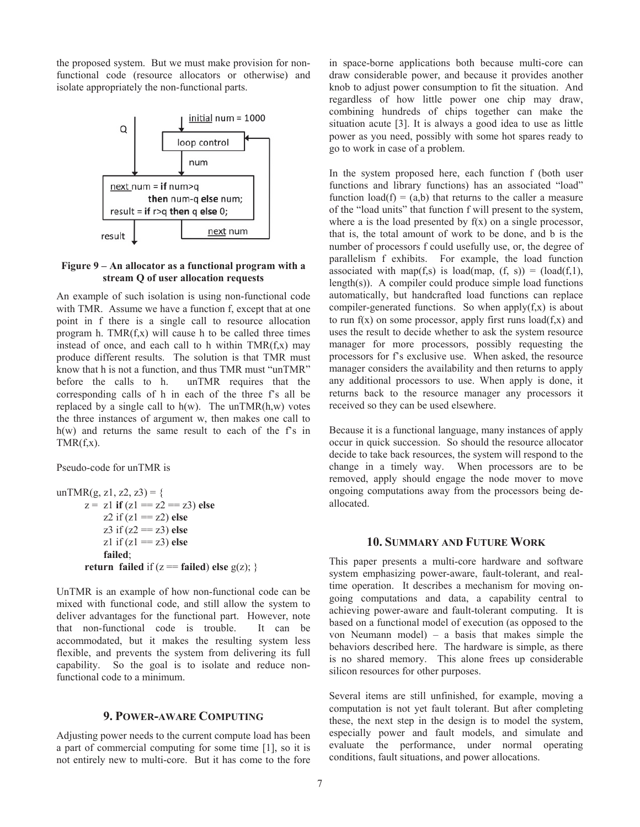the proposed system. But we must make provision for nonfunctional code (resource allocators or otherwise) and isolate appropriately the non-functional parts.



### **Figure 9 – An allocator as a functional program with a stream Q of user allocation requests**

An example of such isolation is using non-functional code with TMR. Assume we have a function f, except that at one point in f there is a single call to resource allocation program h.  $TMR(f,x)$  will cause h to be called three times instead of once, and each call to h within  $TMR(f,x)$  may produce different results. The solution is that TMR must know that h is not a function, and thus TMR must "unTMR" before the calls to h. unTMR requires that the corresponding calls of h in each of the three f's all be replaced by a single call to  $h(w)$ . The unTMR $(h, w)$  votes the three instances of argument w, then makes one call to h(w) and returns the same result to each of the f's in  $TMR(f,x)$ .

#### Pseudo-code for unTMR is

unTMR(g, z1, z2, z3) = { z = z1 **if** (z1 == z2 == z3) **else** z2 if (z1 == z2) **else** z3 if (z2 == z3) **else** z1 if (z1 == z3) **else failed**;  **return failed** if (z == **failed**) **else** g(z); }

UnTMR is an example of how non-functional code can be mixed with functional code, and still allow the system to deliver advantages for the functional part. However, note that non-functional code is trouble. It can be accommodated, but it makes the resulting system less flexible, and prevents the system from delivering its full capability. So the goal is to isolate and reduce nonfunctional code to a minimum.

## **9. POWER-AWARE COMPUTING**

Adjusting power needs to the current compute load has been a part of commercial computing for some time [1], so it is not entirely new to multi-core. But it has come to the fore

in space-borne applications both because multi-core can draw considerable power, and because it provides another knob to adjust power consumption to fit the situation. And regardless of how little power one chip may draw, combining hundreds of chips together can make the situation acute [3]. It is always a good idea to use as little power as you need, possibly with some hot spares ready to go to work in case of a problem.

In the system proposed here, each function f (both user functions and library functions) has an associated "load" function  $load(f) = (a,b)$  that returns to the caller a measure of the "load units" that function f will present to the system, where a is the load presented by  $f(x)$  on a single processor, that is, the total amount of work to be done, and b is the number of processors f could usefully use, or, the degree of parallelism f exhibits. For example, the load function associated with map(f,s) is load(map,  $(f, s)$ ) = (load(f,1), length(s)). A compiler could produce simple load functions automatically, but handcrafted load functions can replace compiler-generated functions. So when apply $(f,x)$  is about to run  $f(x)$  on some processor, apply first runs  $load(f,x)$  and uses the result to decide whether to ask the system resource manager for more processors, possibly requesting the processors for f's exclusive use. When asked, the resource manager considers the availability and then returns to apply any additional processors to use. When apply is done, it returns back to the resource manager any processors it received so they can be used elsewhere.

Because it is a functional language, many instances of apply occur in quick succession. So should the resource allocator decide to take back resources, the system will respond to the change in a timely way. When processors are to be removed, apply should engage the node mover to move ongoing computations away from the processors being deallocated.

### **10. SUMMARY AND FUTURE WORK**

This paper presents a multi-core hardware and software system emphasizing power-aware, fault-tolerant, and realtime operation. It describes a mechanism for moving ongoing computations and data, a capability central to achieving power-aware and fault-tolerant computing. It is based on a functional model of execution (as opposed to the von Neumann model) – a basis that makes simple the behaviors described here. The hardware is simple, as there is no shared memory. This alone frees up considerable silicon resources for other purposes.

Several items are still unfinished, for example, moving a computation is not yet fault tolerant. But after completing these, the next step in the design is to model the system, especially power and fault models, and simulate and evaluate the performance, under normal operating conditions, fault situations, and power allocations.